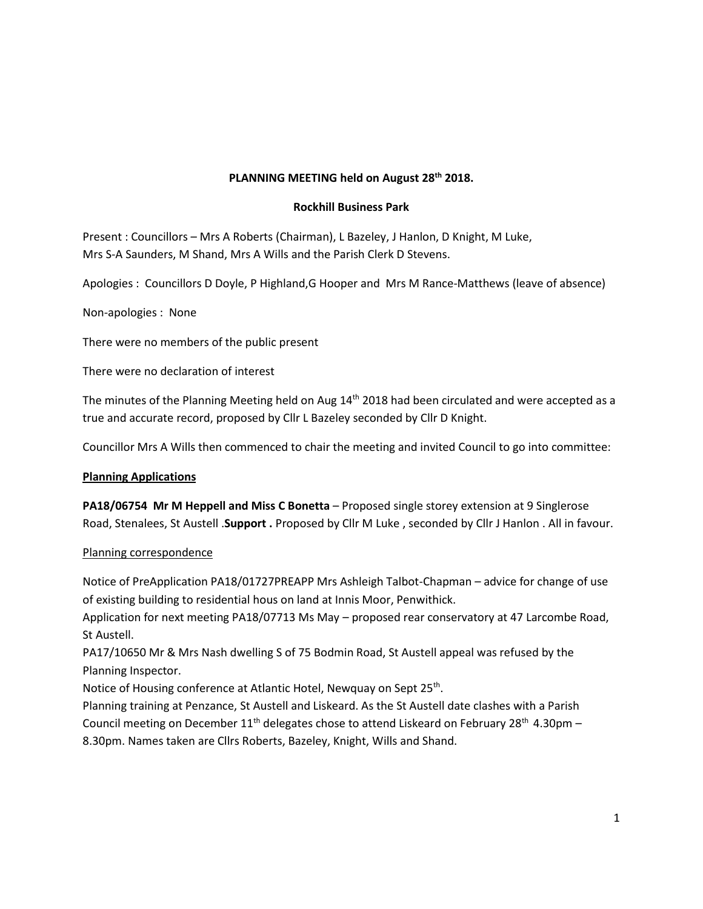# **PLANNING MEETING held on August 28th 2018.**

## **Rockhill Business Park**

Present : Councillors – Mrs A Roberts (Chairman), L Bazeley, J Hanlon, D Knight, M Luke, Mrs S-A Saunders, M Shand, Mrs A Wills and the Parish Clerk D Stevens.

Apologies : Councillors D Doyle, P Highland,G Hooper and Mrs M Rance-Matthews (leave of absence)

Non-apologies : None

There were no members of the public present

There were no declaration of interest

The minutes of the Planning Meeting held on Aug 14<sup>th</sup> 2018 had been circulated and were accepted as a true and accurate record, proposed by Cllr L Bazeley seconded by Cllr D Knight.

Councillor Mrs A Wills then commenced to chair the meeting and invited Council to go into committee:

## **Planning Applications**

**PA18/06754 Mr M Heppell and Miss C Bonetta** – Proposed single storey extension at 9 Singlerose Road, Stenalees, St Austell .**Support .** Proposed by Cllr M Luke , seconded by Cllr J Hanlon . All in favour.

#### Planning correspondence

Notice of PreApplication PA18/01727PREAPP Mrs Ashleigh Talbot-Chapman – advice for change of use of existing building to residential hous on land at Innis Moor, Penwithick.

Application for next meeting PA18/07713 Ms May – proposed rear conservatory at 47 Larcombe Road, St Austell.

PA17/10650 Mr & Mrs Nash dwelling S of 75 Bodmin Road, St Austell appeal was refused by the Planning Inspector.

Notice of Housing conference at Atlantic Hotel, Newquay on Sept 25<sup>th</sup>. .

Planning training at Penzance, St Austell and Liskeard. As the St Austell date clashes with a Parish Council meeting on December  $11<sup>th</sup>$  delegates chose to attend Liskeard on February 28<sup>th</sup> 4.30pm – 8.30pm. Names taken are Cllrs Roberts, Bazeley, Knight, Wills and Shand.